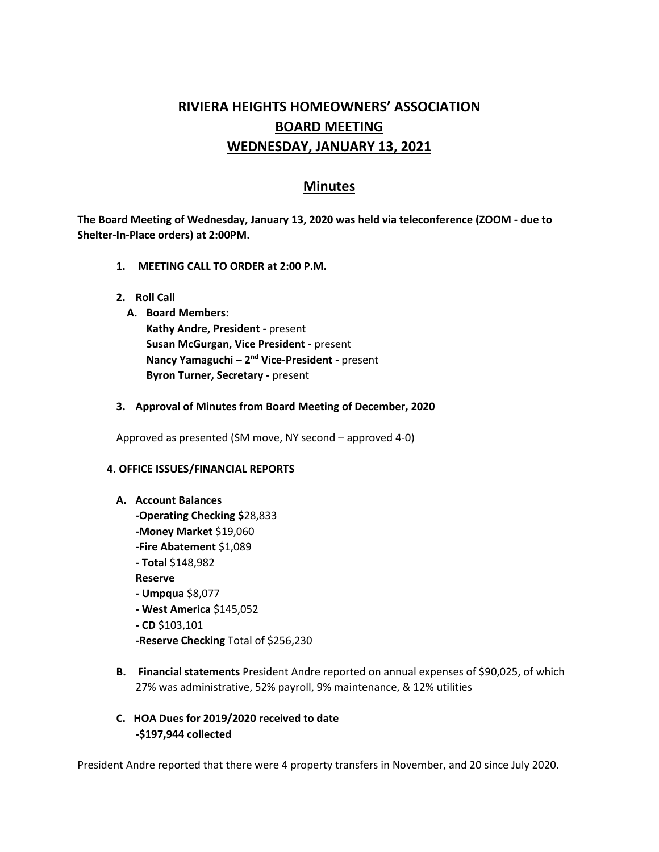# **RIVIERA HEIGHTS HOMEOWNERS' ASSOCIATION BOARD MEETING WEDNESDAY, JANUARY 13, 2021**

# **Minutes**

**The Board Meeting of Wednesday, January 13, 2020 was held via teleconference (ZOOM - due to Shelter-In-Place orders) at 2:00PM.** 

- **1. MEETING CALL TO ORDER at 2:00 P.M.**
- **2. Roll Call**
	- **A. Board Members: Kathy Andre, President -** present **Susan McGurgan, Vice President -** present **Nancy Yamaguchi – 2<sup>nd</sup> Vice-President -** present **Byron Turner, Secretary -** present
- **3. Approval of Minutes from Board Meeting of December, 2020**

Approved as presented (SM move, NY second – approved 4-0)

#### **4. OFFICE ISSUES/FINANCIAL REPORTS**

#### **A. Account Balances**

- **-Operating Checking \$**28,833 **-Money Market** \$19,060 **-Fire Abatement** \$1,089 **- Total** \$148,982 **Reserve - Umpqua** \$8,077 **- West America** \$145,052
- **- CD** \$103,101
- **-Reserve Checking** Total of \$256,230
- **B. Financial statements** President Andre reported on annual expenses of \$90,025, of which 27% was administrative, 52% payroll, 9% maintenance, & 12% utilities
- **C. HOA Dues for 2019/2020 received to date -\$197,944 collected**

President Andre reported that there were 4 property transfers in November, and 20 since July 2020.